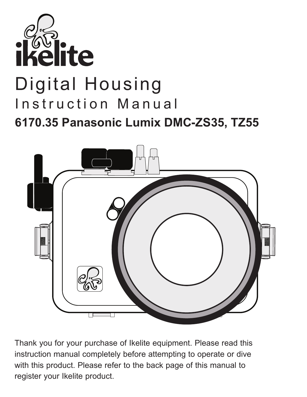

# Digital Housing Instruction Manual **6170.35 Panasonic Lumix DMC-ZS35, TZ55**



Thank you for your purchase of Ikelite equipment. Please read this instruction manual completely before attempting to operate or dive with this product. Please refer to the back page of this manual to register your Ikelite product.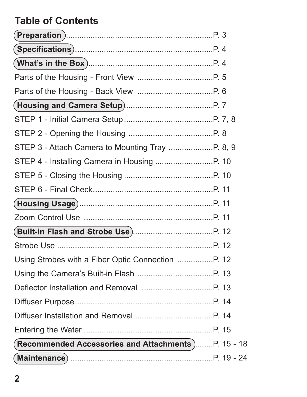## **Table of Contents**

| Using Strobes with a Fiber Optic Connection P. 12   |  |
|-----------------------------------------------------|--|
|                                                     |  |
|                                                     |  |
|                                                     |  |
|                                                     |  |
|                                                     |  |
| (Recommended Accessories and Attachments)P. 15 - 18 |  |
|                                                     |  |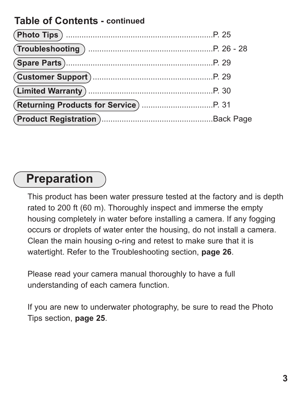#### **Table of Contents - continued**

## **Preparation**

This product has been water pressure tested at the factory and is depth rated to 200 ft (60 m). Thoroughly inspect and immerse the empty housing completely in water before installing a camera. If any fogging occurs or droplets of water enter the housing, do not install a camera. Clean the main housing o-ring and retest to make sure that it is watertight. Refer to the Troubleshooting section, **page 26**.

Please read your camera manual thoroughly to have a full understanding of each camera function.

If you are new to underwater photography, be sure to read the Photo Tips section, **page 25**.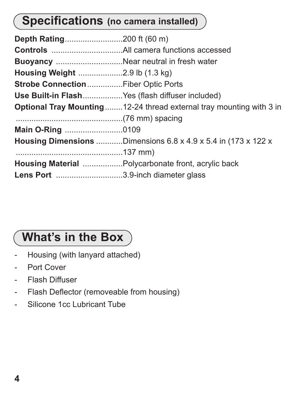# **Specifications (no camera installed)**

| Buoyancy Near neutral in fresh water            |                                                                            |
|-------------------------------------------------|----------------------------------------------------------------------------|
|                                                 |                                                                            |
| Strobe Connection Fiber Optic Ports             |                                                                            |
| Use Built-in FlashYes (flash diffuser included) |                                                                            |
|                                                 | <b>Optional Tray Mounting12-24 thread external tray mounting with 3 in</b> |
|                                                 |                                                                            |
| Main O-Ring 0109                                |                                                                            |
|                                                 | <b>Housing Dimensions</b> Dimensions 6.8 x 4.9 x 5.4 in (173 x 122 x       |
|                                                 |                                                                            |
|                                                 | Housing Material Polycarbonate front, acrylic back                         |
| Lens Port 3.9-inch diameter glass               |                                                                            |

# **What's in the Box**

- Housing (with lanyard attached)
- Port Cover
- Flash Diffuser
- Flash Deflector (removeable from housing)
- Silicone 1cc Lubricant Tube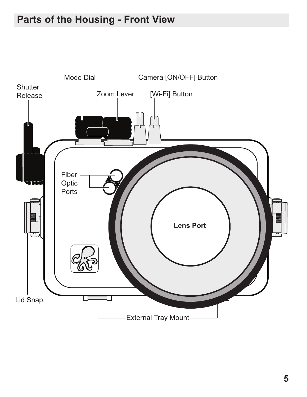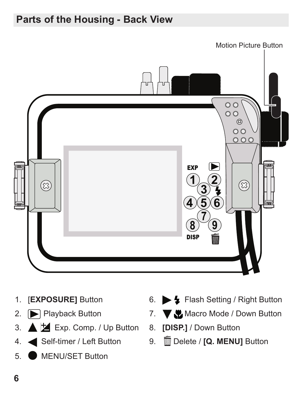### **Parts of the Housing - Back View**



- 1. [**EXPOSURE]** Button
- 2. Playback Button
- 3. Exp. Comp. / Up Button 8. **[DISP.]** / Down Button
- 4. Self-timer / Left Button
- 5. MENU/SET Button
- 6. Flash Setting / Right Button
- 7. W Macro Mode / Down Button
	-
- 9. Delete / **[Q. MENU]** Button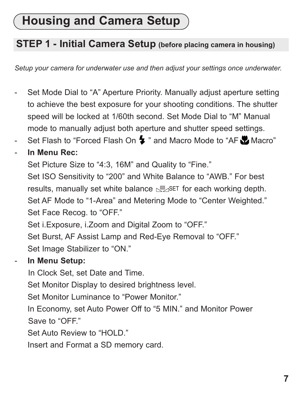# **Housing and Camera Setup**

#### **STEP 1 - Initial Camera Setup (before placing camera in housing)**

*Setup your camera for underwater use and then adjust your settings once underwater.*

- Set Mode Dial to "A" Aperture Priority. Manually adjust aperture setting to achieve the best exposure for your shooting conditions. The shutter speed will be locked at 1/60th second. Set Mode Dial to "M" Manual mode to manually adjust both aperture and shutter speed settings.
- Set Flash to "Forced Flash On  $\blacktriangleright$  " and Macro Mode to "AF Macro"

#### - **In Menu Rec:**

Set Picture Size to "4:3, 16M" and Quality to "Fine."

Set ISO Sensitivity to "200" and White Balance to "AWB." For best results, manually set white balance *S*Do For each working depth. Set AF Mode to "1-Area" and Metering Mode to "Center Weighted." Set Face Recog. to "OFF."

Set i.Exposure, i.Zoom and Digital Zoom to "OFF."

Set Burst, AF Assist Lamp and Red-Eye Removal to "OFF." Set Image Stabilizer to "ON."

#### - **In Menu Setup:**

In Clock Set, set Date and Time.

Set Monitor Display to desired brightness level.

Set Monitor Luminance to "Power Monitor."

In Economy, set Auto Power Off to "5 MIN." and Monitor Power Save to "OFF."

Set Auto Review to "HOLD."

Insert and Format a SD memory card.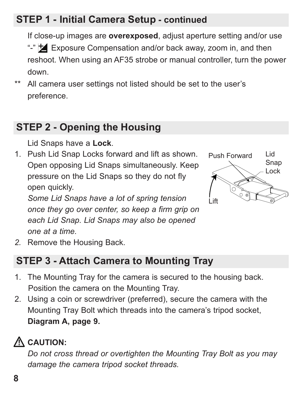## **STEP 1 - Initial Camera Setup - continued**

If close-up images are **overexposed**, adjust aperture setting and/or use "-"  $\overline{\mathbf{A}}$  Exposure Compensation and/or back away, zoom in, and then reshoot. When using an AF35 strobe or manual controller, turn the power down.

\*\* All camera user settings not listed should be set to the user's preference.

#### **STEP 2 - Opening the Housing**

Lid Snaps have a **Lock**.

1. Push Lid Snap Locks forward and lift as shown. Open opposing Lid Snaps simultaneously. Keep pressure on the Lid Snaps so they do not fly open quickly.

*Some Lid Snaps have a lot of spring tension once they go over center, so keep a firm grip on each Lid Snap. Lid Snaps may also be opened one at a time.* 



*2.* Remove the Housing Back.

#### **STEP 3 - Attach Camera to Mounting Tray**

- 1. The Mounting Tray for the camera is secured to the housing back. Position the camera on the Mounting Tray.
- 2. Using a coin or screwdriver (preferred), secure the camera with the Mounting Tray Bolt which threads into the camera's tripod socket, **Diagram A, page 9.**

# **CAUTION:**

*Do not cross thread or overtighten the Mounting Tray Bolt as you may damage the camera tripod socket threads.*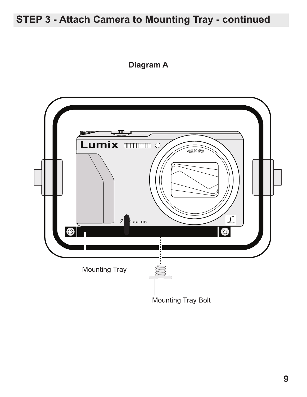### **STEP 3 - Attach Camera to Mounting Tray - continued**

#### **Diagram A**

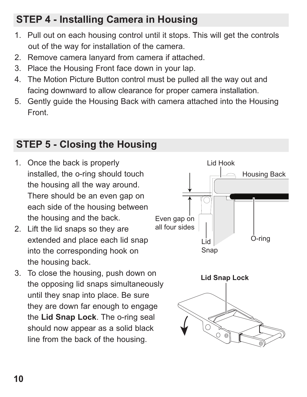## **STEP 4 - Installing Camera in Housing**

- 1. Pull out on each housing control until it stops. This will get the controls out of the way for installation of the camera.
- 2. Remove camera lanyard from camera if attached.
- 3. Place the Housing Front face down in your lap.
- 4. The Motion Picture Button control must be pulled all the way out and facing downward to allow clearance for proper camera installation.
- 5. Gently guide the Housing Back with camera attached into the Housing Front.

### **STEP 5 - Closing the Housing**

- 1. Once the back is properly installed, the o-ring should touch the housing all the way around. There should be an even gap on each side of the housing between the housing and the back.
- 2. Lift the lid snaps so they are extended and place each lid snap into the corresponding hook on the housing back.
- 3. To close the housing, push down on the opposing lid snaps simultaneously until they snap into place. Be sure they are down far enough to engage the **Lid Snap Lock**. The o-ring seal should now appear as a solid black line from the back of the housing.

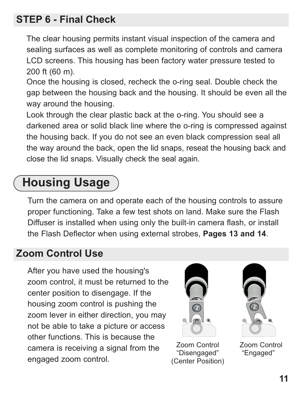#### **STEP 6 - Final Check**

The clear housing permits instant visual inspection of the camera and sealing surfaces as well as complete monitoring of controls and camera LCD screens. This housing has been factory water pressure tested to 200 ft (60 m).

Once the housing is closed, recheck the o-ring seal. Double check the gap between the housing back and the housing. It should be even all the way around the housing.

Look through the clear plastic back at the o-ring. You should see a darkened area or solid black line where the o-ring is compressed against the housing back. If you do not see an even black compression seal all the way around the back, open the lid snaps, reseat the housing back and close the lid snaps. Visually check the seal again.

# **Housing Usage**

Turn the camera on and operate each of the housing controls to assure proper functioning. Take a few test shots on land. Make sure the Flash Diffuser is installed when using only the built-in camera flash, or install the Flash Deflector when using external strobes, **Pages 13 and 14**.

#### **Zoom Control Use**

After you have used the housing's zoom control, it must be returned to the center position to disengage. If the housing zoom control is pushing the zoom lever in either direction, you may not be able to take a picture or access other functions. This is because the camera is receiving a signal from the engaged zoom control.



Zoom Control "Disengaged" (Center Position)



Zoom Control "Engaged"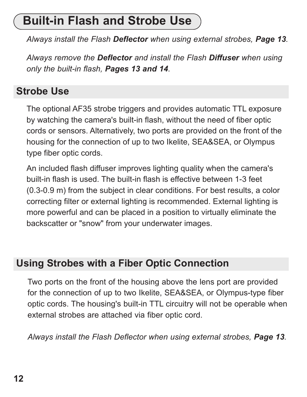# **Built-in Flash and Strobe Use**

*Always install the Flash Deflector when using external strobes, Page 13.*

*Always remove the Deflector and install the Flash Diffuser when using only the built-in flash, Pages 13 and 14.*

#### **Strobe Use**

The optional AF35 strobe triggers and provides automatic TTL exposure by watching the camera's built-in flash, without the need of fiber optic cords or sensors. Alternatively, two ports are provided on the front of the housing for the connection of up to two Ikelite, SEA&SEA, or Olympus type fiber optic cords.

An included flash diffuser improves lighting quality when the camera's built-in flash is used. The built-in flash is effective between 1-3 feet (0.3-0.9 m) from the subject in clear conditions. For best results, a color correcting filter or external lighting is recommended. External lighting is more powerful and can be placed in a position to virtually eliminate the backscatter or "snow" from your underwater images.

#### **Using Strobes with a Fiber Optic Connection**

Two ports on the front of the housing above the lens port are provided for the connection of up to two Ikelite, SEA&SEA, or Olympus-type fiber optic cords. The housing's built-in TTL circuitry will not be operable when external strobes are attached via fiber optic cord.

*Always install the Flash Deflector when using external strobes, Page 13.*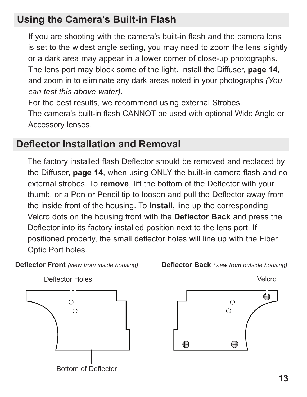#### **Using the Camera's Built-in Flash**

If you are shooting with the camera's built-in flash and the camera lens is set to the widest angle setting, you may need to zoom the lens slightly or a dark area may appear in a lower corner of close-up photographs. The lens port may block some of the light. Install the Diffuser, **page 14**, and zoom in to eliminate any dark areas noted in your photographs *(You can test this above water)*.

For the best results, we recommend using external Strobes.

The camera's built-in flash CANNOT be used with optional Wide Angle or Accessory lenses.

#### **Deflector Installation and Removal**

The factory installed flash Deflector should be removed and replaced by the Diffuser, **page 14**, when using ONLY the built-in camera flash and no external strobes. To **remove**, lift the bottom of the Deflector with your thumb, or a Pen or Pencil tip to loosen and pull the Deflector away from the inside front of the housing. To **install**, line up the corresponding Velcro dots on the housing front with the **Deflector Back** and press the Deflector into its factory installed position next to the lens port. If positioned properly, the small deflector holes will line up with the Fiber Optic Port holes.

**Deflector Front** *(view from inside housing)*



**Deflector Back** *(view from outside housing)* Velcro



**13**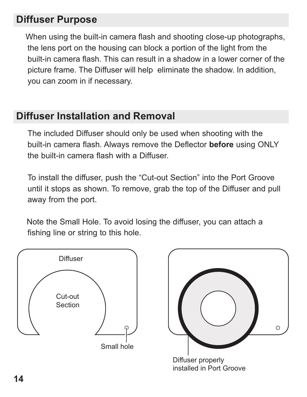#### **Diffuser Purpose**

When using the built-in camera flash and shooting close-up photographs, the lens port on the housing can block a portion of the light from the built-in camera flash. This can result in a shadow in a lower corner of the picture frame. The Diffuser will help eliminate the shadow. In addition, you can zoom in if necessary.

#### **Diffuser Installation and Removal**

The included Diffuser should only be used when shooting with the built-in camera flash. Always remove the Deflector **before** using ONLY the built-in camera flash with a Diffuser.

To install the diffuser, push the "Cut-out Section" into the Port Groove until it stops as shown. To remove, grab the top of the Diffuser and pull away from the port.

Note the Small Hole. To avoid losing the diffuser, you can attach a fishing line or string to this hole.





installed in Port Groove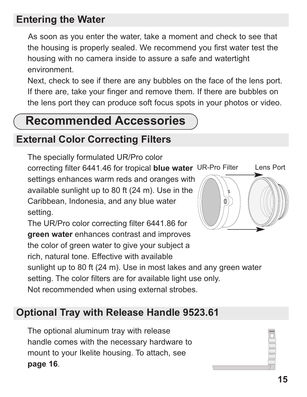#### **Entering the Water**

As soon as you enter the water, take a moment and check to see that the housing is properly sealed. We recommend you first water test the housing with no camera inside to assure a safe and watertight environment.

Next, check to see if there are any bubbles on the face of the lens port. If there are, take your finger and remove them. If there are bubbles on the lens port they can produce soft focus spots in your photos or video.

# **Recommended Accessories**

#### **External Color Correcting Filters**

The specially formulated UR/Pro color

correcting filter 6441.46 for tropical **blue water** UR-Pro Filter Lens Port settings enhances warm reds and oranges with available sunlight up to 80 ft (24 m). Use in the Caribbean, Indonesia, and any blue water setting.

The UR/Pro color correcting filter 6441.86 for **green water** enhances contrast and improves the color of green water to give your subject a rich, natural tone. Effective with available

sunlight up to 80 ft (24 m). Use in most lakes and any green water

setting. The color filters are for available light use only.

Not recommended when using external strobes.

### **Optional Tray with Release Handle 9523.61**

The optional aluminum tray with release handle comes with the necessary hardware to mount to your Ikelite housing. To attach, see **page 16**.

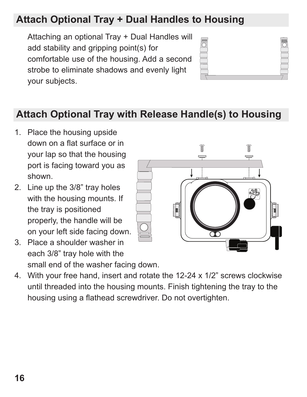## **Attach Optional Tray + Dual Handles to Housing**

Attaching an optional Tray + Dual Handles will add stability and gripping point(s) for comfortable use of the housing. Add a second strobe to eliminate shadows and evenly light your subjects.



### **Attach Optional Tray with Release Handle(s) to Housing**

- 1. Place the housing upside down on a flat surface or in your lap so that the housing port is facing toward you as shown.
- 2. Line up the 3/8" tray holes with the housing mounts. If the tray is positioned properly, the handle will be on your left side facing down.
- 3. Place a shoulder washer in each 3/8" tray hole with the small end of the washer facing down.



4. With your free hand, insert and rotate the 12-24 x 1/2" screws clockwise until threaded into the housing mounts. Finish tightening the tray to the housing using a flathead screwdriver. Do not overtighten.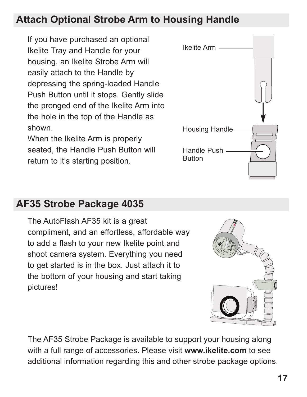### **Attach Optional Strobe Arm to Housing Handle**

If you have purchased an optional Ikelite Tray and Handle for your housing, an Ikelite Strobe Arm will easily attach to the Handle by depressing the spring-loaded Handle Push Button until it stops. Gently slide the pronged end of the Ikelite Arm into the hole in the top of the Handle as shown.

When the Ikelite Arm is properly seated, the Handle Push Button will return to it's starting position.



### **AF35 Strobe Package 4035**

The AutoFlash AF35 kit is a great compliment, and an effortless, affordable way to add a flash to your new Ikelite point and shoot camera system. Everything you need to get started is in the box. Just attach it to the bottom of your housing and start taking pictures!

The AF35 Strobe Package is available to support your housing along with a full range of accessories. Please visit **www.ikelite.com** to see

additional information regarding this and other strobe package options.



**ikelite** *35* **AF ikelite** *AUTOFLASH*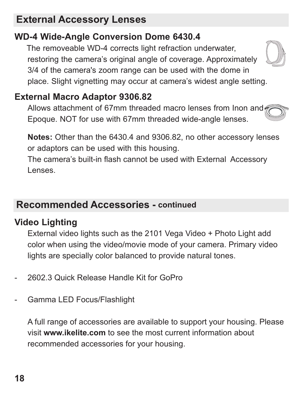## **External Accessory Lenses**

## **WD-4 Wide-Angle Conversion Dome 6430.4**

The removeable WD-4 corrects light refraction underwater, restoring the camera's original angle of coverage. Approximately 3/4 of the camera's zoom range can be used with the dome in place. Slight vignetting may occur at camera's widest angle setting.

### **External Macro Adaptor 9306.82**

Allows attachment of 67mm threaded macro lenses from Inon and Epoque. NOT for use with 67mm threaded wide-angle lenses.

**Notes:** Other than the 6430.4 and 9306.82, no other accessory lenses or adaptors can be used with this housing.

The camera's built-in flash cannot be used with External Accessory Lenses.

### **Recommended Accessories - continued**

### **Video Lighting**

External video lights such as the 2101 Vega Video + Photo Light add color when using the video/movie mode of your camera. Primary video lights are specially color balanced to provide natural tones.

- 2602.3 Quick Release Handle Kit for GoPro
- Gamma LED Focus/Flashlight

A full range of accessories are available to support your housing. Please visit **www.ikelite.com** to see the most current information about recommended accessories for your housing.



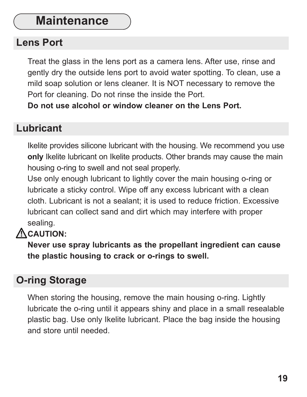## **Maintenance**

#### **Lens Port**

Treat the glass in the lens port as a camera lens. After use, rinse and gently dry the outside lens port to avoid water spotting. To clean, use a mild soap solution or lens cleaner. It is NOT necessary to remove the Port for cleaning. Do not rinse the inside the Port.

**Do not use alcohol or window cleaner on the Lens Port.**

#### **Lubricant**

Ikelite provides silicone lubricant with the housing. We recommend you use **only** Ikelite lubricant on Ikelite products. Other brands may cause the main housing o-ring to swell and not seal properly.

Use only enough lubricant to lightly cover the main housing o-ring or lubricate a sticky control. Wipe off any excess lubricant with a clean cloth. Lubricant is not a sealant; it is used to reduce friction. Excessive lubricant can collect sand and dirt which may interfere with proper sealing.

### **ACAUTION:**

**Never use spray lubricants as the propellant ingredient can cause the plastic housing to crack or o-rings to swell.**

### **O-ring Storage**

When storing the housing, remove the main housing o-ring. Lightly lubricate the o-ring until it appears shiny and place in a small resealable plastic bag. Use only Ikelite lubricant. Place the bag inside the housing and store until needed.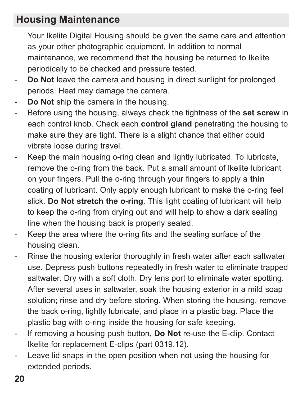#### **Housing Maintenance**

Your Ikelite Digital Housing should be given the same care and attention as your other photographic equipment. In addition to normal maintenance, we recommend that the housing be returned to Ikelite periodically to be checked and pressure tested.

- **Do Not** leave the camera and housing in direct sunlight for prolonged periods. Heat may damage the camera.
- **Do Not** ship the camera in the housing.
- Before using the housing, always check the tightness of the **set screw** in each control knob. Check each **control gland** penetrating the housing to make sure they are tight. There is a slight chance that either could vibrate loose during travel.
- Keep the main housing o-ring clean and lightly lubricated. To lubricate, remove the o-ring from the back. Put a small amount of lkelite lubricant on your fingers. Pull the o-ring through your fingers to apply a **thin** coating of lubricant. Only apply enough lubricant to make the o-ring feel slick. **Do Not stretch the o-ring**. This light coating of lubricant will help to keep the o-ring from drying out and will help to show a dark sealing line when the housing back is properly sealed.
- Keep the area where the o-ring fits and the sealing surface of the housing clean.
- Rinse the housing exterior thoroughly in fresh water after each saltwater use. Depress push buttons repeatedly in fresh water to eliminate trapped saltwater. Dry with a soft cloth. Dry lens port to eliminate water spotting. After several uses in saltwater, soak the housing exterior in a mild soap solution; rinse and dry before storing. When storing the housing, remove the back o-ring, lightly lubricate, and place in a plastic bag. Place the plastic bag with o-ring inside the housing for safe keeping.
- If removing a housing push button, **Do Not** re-use the E-clip. Contact Ikelite for replacement E-clips (part 0319.12).
- Leave lid snaps in the open position when not using the housing for extended periods.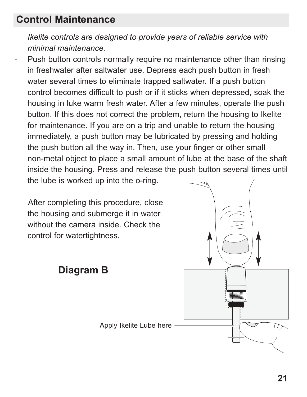#### **Control Maintenance**

*Ikelite controls are designed to provide years of reliable service with minimal maintenance.*

Push button controls normally require no maintenance other than rinsing in freshwater after saltwater use. Depress each push button in fresh water several times to eliminate trapped saltwater. If a push button control becomes difficult to push or if it sticks when depressed, soak the housing in luke warm fresh water. After a few minutes, operate the push button. If this does not correct the problem, return the housing to Ikelite for maintenance. If you are on a trip and unable to return the housing immediately, a push button may be lubricated by pressing and holding the push button all the way in. Then, use your finger or other small non-metal object to place a small amount of lube at the base of the shaft inside the housing. Press and release the push button several times until the lube is worked up into the o-ring.

After completing this procedure, close the housing and submerge it in water without the camera inside. Check the control for watertightness.

**Diagram B**

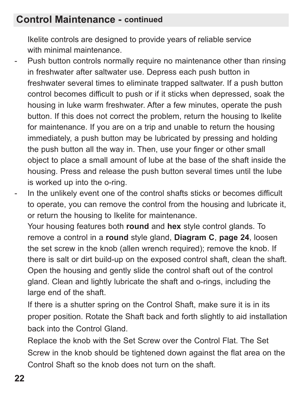#### **Control Maintenance - continued**

Ikelite controls are designed to provide years of reliable service with minimal maintenance.

- Push button controls normally require no maintenance other than rinsing in freshwater after saltwater use. Depress each push button in freshwater several times to eliminate trapped saltwater. If a push button control becomes difficult to push or if it sticks when depressed, soak the housing in luke warm freshwater. After a few minutes, operate the push button. If this does not correct the problem, return the housing to Ikelite for maintenance. If you are on a trip and unable to return the housing immediately, a push button may be lubricated by pressing and holding the push button all the way in. Then, use your finger or other small object to place a small amount of lube at the base of the shaft inside the housing. Press and release the push button several times until the lube is worked up into the o-ring.
- In the unlikely event one of the control shafts sticks or becomes difficult to operate, you can remove the control from the housing and lubricate it, or return the housing to Ikelite for maintenance.

Your housing features both **round** and **hex** style control glands. To remove a control in a **round** style gland, **Diagram C**, **page 24**, loosen the set screw in the knob (allen wrench required); remove the knob. If there is salt or dirt build-up on the exposed control shaft, clean the shaft. Open the housing and gently slide the control shaft out of the control gland. Clean and lightly lubricate the shaft and o-rings, including the large end of the shaft.

If there is a shutter spring on the Control Shaft, make sure it is in its proper position. Rotate the Shaft back and forth slightly to aid installation back into the Control Gland.

Replace the knob with the Set Screw over the Control Flat. The Set Screw in the knob should be tightened down against the flat area on the Control Shaft so the knob does not turn on the shaft.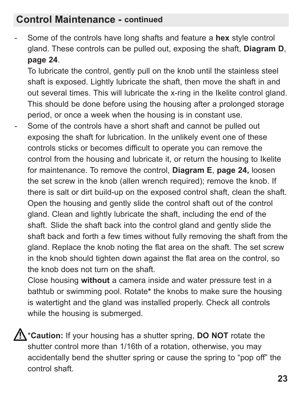#### **Control Maintenance - continued**

- Some of the controls have long shafts and feature a **hex** style control gland. These controls can be pulled out, exposing the shaft, **Diagram D**, **page 24**.

To lubricate the control, gently pull on the knob until the stainless steel shaft is exposed. Lightly lubricate the shaft, then move the shaft in and out several times. This will lubricate the x-ring in the Ikelite control gland. This should be done before using the housing after a prolonged storage period, or once a week when the housing is in constant use.

Some of the controls have a short shaft and cannot be pulled out exposing the shaft for lubrication. In the unlikely event one of these controls sticks or becomes difficult to operate you can remove the control from the housing and lubricate it, or return the housing to Ikelite for maintenance. To remove the control, **Diagram E**, **page 24,** loosen the set screw in the knob (allen wrench required); remove the knob. If there is salt or dirt build-up on the exposed control shaft, clean the shaft. Open the housing and gently slide the control shaft out of the control gland. Clean and lightly lubricate the shaft, including the end of the shaft. Slide the shaft back into the control gland and gently slide the shaft back and forth a few times without fully removing the shaft from the gland. Replace the knob noting the flat area on the shaft. The set screw in the knob should tighten down against the flat area on the control, so the knob does not turn on the shaft.

Close housing **without** a camera inside and water pressure test in a bathtub or swimming pool. Rotate**\*** the knobs to make sure the housing is watertight and the gland was installed properly. Check all controls while the housing is submerged.

\***Caution:** If your housing has a shutter spring, **DO NOT** rotate the shutter control more than 1/16th of a rotation, otherwise, you may accidentally bend the shutter spring or cause the spring to "pop off" the control shaft.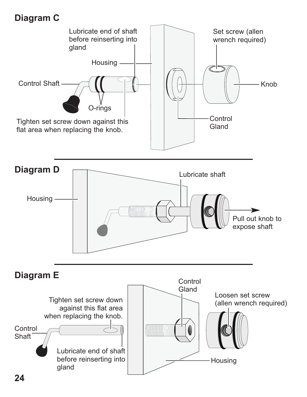#### **Diagram C**

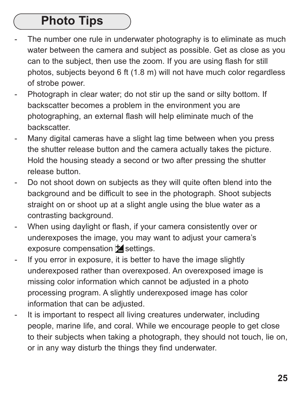# **Photo Tips**

- The number one rule in underwater photography is to eliminate as much water between the camera and subject as possible. Get as close as you can to the subject, then use the zoom. If you are using flash for still photos, subjects beyond 6 ft (1.8 m) will not have much color regardless of strobe power.
- Photograph in clear water; do not stir up the sand or silty bottom. If backscatter becomes a problem in the environment you are photographing, an external flash will help eliminate much of the backscatter.
- Many digital cameras have a slight lag time between when you press the shutter release button and the camera actually takes the picture. Hold the housing steady a second or two after pressing the shutter release button.
- Do not shoot down on subjects as they will quite often blend into the background and be difficult to see in the photograph. Shoot subjects straight on or shoot up at a slight angle using the blue water as a contrasting background.
- When using daylight or flash, if your camera consistently over or underexposes the image, you may want to adjust your camera's exposure compensation  $\overline{z}$  settings.
- If you error in exposure, it is better to have the image slightly underexposed rather than overexposed. An overexposed image is missing color information which cannot be adjusted in a photo processing program. A slightly underexposed image has color information that can be adjusted.
- It is important to respect all living creatures underwater, including people, marine life, and coral. While we encourage people to get close to their subjects when taking a photograph, they should not touch, lie on, or in any way disturb the things they find underwater.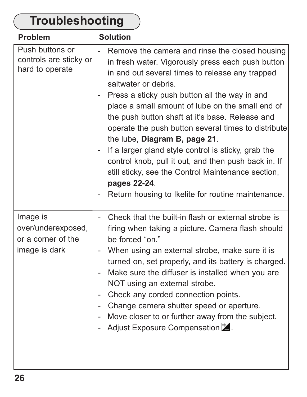| Troubleshooting                                                       |                                                                                                                                                                                                                                                                                                                                                                                                                                                                                                                                                                                                                                                                           |  |
|-----------------------------------------------------------------------|---------------------------------------------------------------------------------------------------------------------------------------------------------------------------------------------------------------------------------------------------------------------------------------------------------------------------------------------------------------------------------------------------------------------------------------------------------------------------------------------------------------------------------------------------------------------------------------------------------------------------------------------------------------------------|--|
| Problem                                                               | <b>Solution</b>                                                                                                                                                                                                                                                                                                                                                                                                                                                                                                                                                                                                                                                           |  |
| Push buttons or<br>controls are sticky or<br>hard to operate          | Remove the camera and rinse the closed housing<br>in fresh water. Vigorously press each push button<br>in and out several times to release any trapped<br>saltwater or debris.<br>Press a sticky push button all the way in and<br>place a small amount of lube on the small end of<br>the push button shaft at it's base. Release and<br>operate the push button several times to distribute<br>the lube, Diagram B, page 21.<br>If a larger gland style control is sticky, grab the<br>control knob, pull it out, and then push back in. If<br>still sticky, see the Control Maintenance section,<br>pages 22-24.<br>Return housing to Ikelite for routine maintenance. |  |
| Image is<br>over/underexposed,<br>or a corner of the<br>image is dark | Check that the built-in flash or external strobe is<br>firing when taking a picture. Camera flash should<br>be forced "on."<br>- When using an external strobe, make sure it is<br>turned on, set properly, and its battery is charged.<br>Make sure the diffuser is installed when you are<br>$\overline{a}$<br>NOT using an external strobe.<br>Check any corded connection points.<br>Change camera shutter speed or aperture.<br>Move closer to or further away from the subject.<br>Adjust Exposure Compensation <b>2</b> .                                                                                                                                          |  |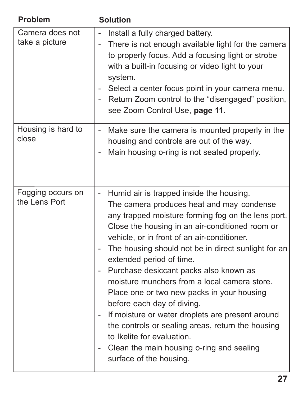| Problem                            | <b>Solution</b>                                                                                                                                                                                                                                                                                                                                                                                                                                                                                                                                                                                                                                                                                                         |
|------------------------------------|-------------------------------------------------------------------------------------------------------------------------------------------------------------------------------------------------------------------------------------------------------------------------------------------------------------------------------------------------------------------------------------------------------------------------------------------------------------------------------------------------------------------------------------------------------------------------------------------------------------------------------------------------------------------------------------------------------------------------|
| Camera does not<br>take a picture  | Install a fully charged battery.<br>There is not enough available light for the camera<br>to properly focus. Add a focusing light or strobe<br>with a built-in focusing or video light to your<br>system.<br>Select a center focus point in your camera menu.<br>- Return Zoom control to the "disengaged" position,<br>see Zoom Control Use, page 11.                                                                                                                                                                                                                                                                                                                                                                  |
| Housing is hard to<br>close        | Make sure the camera is mounted properly in the<br>$\overline{\phantom{a}}$<br>housing and controls are out of the way.<br>Main housing o-ring is not seated properly.                                                                                                                                                                                                                                                                                                                                                                                                                                                                                                                                                  |
| Fogging occurs on<br>the Lens Port | - Humid air is trapped inside the housing.<br>The camera produces heat and may condense<br>any trapped moisture forming fog on the lens port.<br>Close the housing in an air-conditioned room or<br>vehicle, or in front of an air-conditioner.<br>The housing should not be in direct sunlight for an<br>extended period of time.<br>Purchase desiccant packs also known as<br>moisture munchers from a local camera store.<br>Place one or two new packs in your housing<br>before each day of diving.<br>If moisture or water droplets are present around<br>the controls or sealing areas, return the housing<br>to Ikelite for evaluation.<br>Clean the main housing o-ring and sealing<br>surface of the housing. |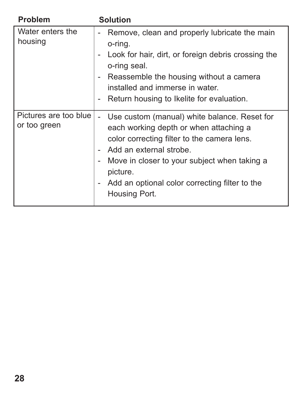| Problem                               | <b>Solution</b>                                                                                                                                                                                                                                                                                 |
|---------------------------------------|-------------------------------------------------------------------------------------------------------------------------------------------------------------------------------------------------------------------------------------------------------------------------------------------------|
| Water enters the<br>housing           | Remove, clean and properly lubricate the main<br>o-ring.<br>Look for hair, dirt, or foreign debris crossing the<br>o-ring seal.<br>Reassemble the housing without a camera<br>installed and immerse in water.<br>Return housing to Ikelite for evaluation.                                      |
| Pictures are too blue<br>or too green | Use custom (manual) white balance. Reset for<br>each working depth or when attaching a<br>color correcting filter to the camera lens.<br>Add an external strobe.<br>Move in closer to your subject when taking a<br>picture.<br>Add an optional color correcting filter to the<br>Housing Port. |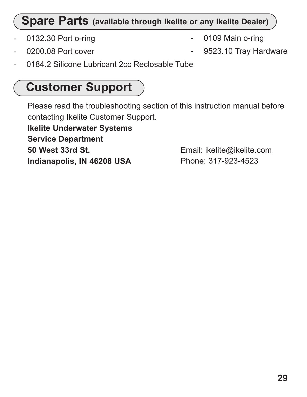#### **Spare Parts (available through Ikelite or any Ikelite Dealer)**

- 0132.30 Port o-ring
- 0200.08 Port cover
- 0109 Main o-ring
- 9523.10 Tray Hardware
- 0184.2 Silicone Lubricant 2cc Reclosable Tube

# **Customer Support**

Please read the troubleshooting section of this instruction manual before contacting Ikelite Customer Support.

**Ikelite Underwater Systems Service Department 50 West 33rd St. Indianapolis, IN 46208 USA**

Email: ikelite@ikelite.com Phone: 317-923-4523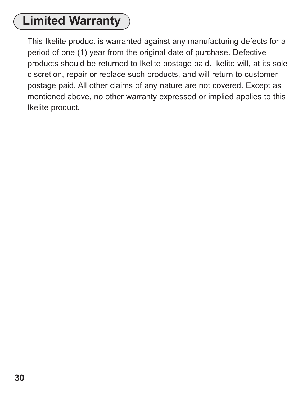# **Limited Warranty**

This Ikelite product is warranted against any manufacturing defects for a period of one (1) year from the original date of purchase. Defective products should be returned to Ikelite postage paid. Ikelite will, at its sole discretion, repair or replace such products, and will return to customer postage paid. All other claims of any nature are not covered. Except as mentioned above, no other warranty expressed or implied applies to this Ikelite product**.**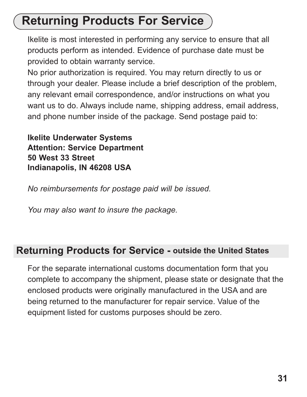# **Returning Products For Service**

Ikelite is most interested in performing any service to ensure that all products perform as intended. Evidence of purchase date must be provided to obtain warranty service.

No prior authorization is required. You may return directly to us or through your dealer. Please include a brief description of the problem, any relevant email correspondence, and/or instructions on what you want us to do. Always include name, shipping address, email address, and phone number inside of the package. Send postage paid to:

**Ikelite Underwater Systems Attention: Service Department 50 West 33 Street Indianapolis, IN 46208 USA**

*No reimbursements for postage paid will be issued.*

*You may also want to insure the package.* 

#### **Returning Products for Service - outside the United States**

For the separate international customs documentation form that you complete to accompany the shipment, please state or designate that the enclosed products were originally manufactured in the USA and are being returned to the manufacturer for repair service. Value of the equipment listed for customs purposes should be zero.